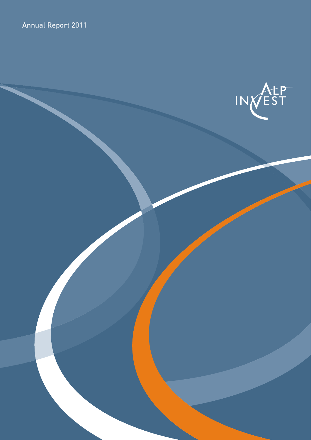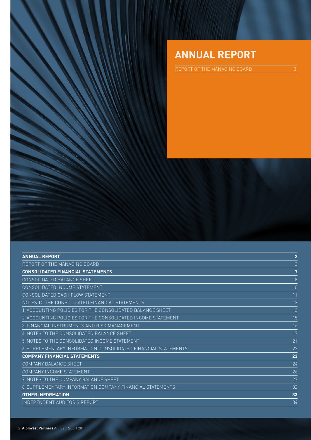

# **Annual report**

Report of the Managing Board 3

| <b>ANNUAL REPORT</b>                                          | 2  |
|---------------------------------------------------------------|----|
| REPORT OF THE MANAGING BOARD                                  | 3  |
| <b>CONSOLIDATED FINANCIAL STATEMENTS</b>                      | 7  |
| CONSOLIDATED BALANCE SHEET                                    | 8  |
| CONSOLIDATED INCOME STATEMENT                                 | 10 |
| CONSOLIDATED CASH FLOW STATEMENT                              | 11 |
| NOTES TO THE CONSOLIDATED FINANCIAL STATEMENTS                | 12 |
| 1 ACCOUNTING POLICIES FOR THE CONSOLIDATED BALANCE SHEET      | 13 |
| 2 ACCOUNTING POLICIES FOR THE CONSOLIDATED INCOME STATEMENT   | 15 |
| 3 FINANCIAL INSTRUMENTS AND RISK MANAGEMENT                   | 16 |
| 4 NOTES TO THE CONSOLIDATED BALANCE SHEET                     | 17 |
| 5 NOTES TO THE CONSOLIDATED INCOME STATEMENT                  | 21 |
| 6 SUPPLEMENTARY INFORMATION CONSOLIDATED FINANCIAL STATEMENTS | 22 |
| <b>COMPANY FINANCIAL STATEMENTS</b>                           | 23 |
| COMPANY BALANCE SHEET                                         | 24 |
| COMPANY INCOME STATEMENT                                      | 26 |
| 7 NOTES TO THE COMPANY BALANCE SHEET                          | 27 |
| 8 SUPPLEMENTARY INFORMATION COMPANY FINANCIAL STATEMENTS      | 32 |
| <b>OTHER INFORMATION</b>                                      | 33 |
| INDEPENDENT AUDITOR'S REPORT                                  | 34 |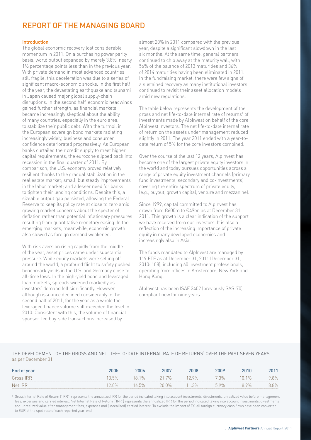## REPORT OF THE MANAGING BOARD

### Introduction

The global economic recovery lost considerable momentum in 2011. On a purchasing power parity basis, world output expanded by merely 3.8%, nearly 1½ percentage points less than in the previous year. With private demand in most advanced countries still fragile, this deceleration was due to a series of significant macro-economic shocks. In the first half of the year, the devastating earthquake and tsunami in Japan caused major global supply-chain disruptions. In the second half, economic headwinds gained further strength, as financial markets became increasingly skeptical about the ability of many countries, especially in the euro area, to stabilize their public debt. With the turmoil in the European sovereign bond markets radiating increasingly widely, business and consumer confidence deteriorated progressively. As European banks curtailed their credit supply to meet higher capital requirements, the eurozone slipped back into recession in the final quarter of 2011. By comparison, the U.S. economy proved relatively resilient thanks to the gradual stabilization in the real estate market; small, but steady improvements in the labor market; and a lesser need for banks to tighten their lending conditions. Despite this, a sizeable output gap persisted, allowing the Federal Reserve to keep its policy rate at close to zero amid growing market concerns about the specter of deflation rather than potential inflationary pressures resulting from quantitative monetary easing. In the emerging markets, meanwhile, economic growth also slowed as foreign demand weakened.

With risk aversion rising rapidly from the middle of the year, asset prices came under substantial pressure. While equity markets were selling off around the world, a profound flight to safety pushed benchmark yields in the U.S. and Germany close to all-time lows. In the high-yield bond and leveraged loan markets, spreads widened markedly as investors' demand fell significantly. However, although issuance declined considerably in the second half of 2011, for the year as a whole the leveraged finance volume still exceeded the level in 2010. Consistent with this, the volume of financial sponsor-led buy-side transactions increased by

almost 20% in 2011 compared with the previous year, despite a significant slowdown in the last six months. At the same time, general partners continued to chip away at the maturity wall, with 56% of the balance of 2013 maturities and 36% of 2014 maturities having been eliminated in 2011. In the fundraising market, there were few signs of a sustained recovery as many institutional investors continued to revisit their asset allocation models amid new regulations.

The table below represents the development of the gross and net life-to-date internal rate of returns<sup>1</sup> of investments made by AlpInvest on behalf of the core AlpInvest investors. The net life-to-date internal rate of return on the assets under management reduced slightly in 2011. The year 2011 ended with a year-todate return of 5% for the core investors combined.

Over the course of the last 12 years, AlpInvest has become one of the largest private equity investors in the world and today pursues opportunities across a range of private equity investment channels (primary fund investments, secondary and co-investments) covering the entire spectrum of private equity, (e.g., buyout, growth capital, venture and mezzanine).

Since 1999, capital committed to AlpInvest has grown from €600m to €49bn as at December 31, 2011. This growth is a clear indication of the support we have received from our investors. It is also a reflection of the increasing importance of private equity in many developed economies and increasingly also in Asia.

The funds mandated to AlpInvest are managed by 119 FTE as at December 31, 2011 (December 31, 2010: 108), including 60 investment professionals, operating from offices in Amsterdam, New York and Hong Kong.

AlpInvest has been ISAE 3402 (previously SAS-70) compliant now for nine years.

THE DEVELOPMENT OF THE GROSS AND NET LIFE-TO-DATE INTERNAL RATE OF RETURNS' OVER THE PAST SEVEN YEARS as per December 31

| End of year | 2005     | 2006  | 2007     | 2008              | 2009    | 2010      | 2011    |
|-------------|----------|-------|----------|-------------------|---------|-----------|---------|
| Gross IRR   | $13.5\%$ |       |          | 18.1% 21.7% 12.9% | $7.3\%$ | $-10.1\%$ | $9.8\%$ |
| Net IRR     | $12.0\%$ | 16.5% | $20.0\%$ | $-11.3\%$         | 59%     | 8.9%      | 8.8%    |

1 Gross Internal Rate of Return ("IRR") represents the annualized IRR for the period indicated taking into account investments, divestments, unrealized value before management fees, expenses and carried interest. Net Internal Rate of Return ("IRR") represents the annualized IRR for the period indicated taking into account investments, divestments and unrealized value after management fees, expenses and (unrealized) carried interest. To exclude the impact of FX, all foreign currency cash flows have been converted to EUR at the spot-rate of each reported year-end.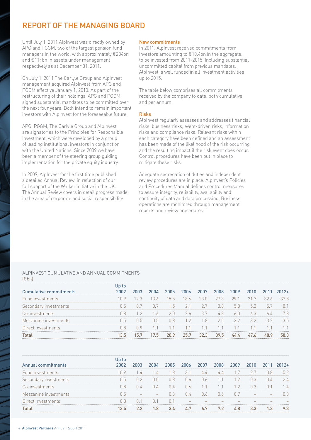## REPORT OF THE MANAGING BOARD

Until July 1, 2011 AlpInvest was directly owned by APG and PGGM, two of the largest pension fund managers in the world, with approximately €284bn and €114bn in assets under management respectively as at December 31, 2011.

On July 1, 2011 The Carlyle Group and AlpInvest management acquired AlpInvest from APG and PGGM effective January 1, 2010. As part of the restructuring of their holdings, APG and PGGM signed substantial mandates to be committed over the next four years. Both intend to remain important investors with AlpInvest for the foreseeable future.

APG, PGGM, The Carlyle Group and AlpInvest are signatories to the Principles for Responsible Investment, which were developed by a group of leading institutional investors in conjunction with the United Nations. Since 2009 we have been a member of the steering group guiding implementation for the private equity industry.

In 2009, AlpInvest for the first time published a detailed Annual Review, in reflection of our full support of the Walker initiative in the UK. The Annual Review covers in detail progress made in the area of corporate and social responsibility.

## New commitments

In 2011, AlpInvest received commitments from investors amounting to  $£10.4$ bn in the aggregate, to be invested from 2011-2015. Including substantial uncommitted capital from previous mandates, AlpInvest is well funded in all investment activities up to 2015.

The table below comprises all commitments received by the company to date, both cumulative and per annum.

### Risks

AlpInvest regularly assesses and addresses financial risks, business risks, event-driven risks, information risks and compliance risks. Relevant risks within each category have been defined and an assessment has been made of the likelihood of the risk occurring and the resulting impact if the risk event does occur. Control procedures have been put in place to mitigate these risks.

Adequate segregation of duties and independent review procedures are in place. AlpInvest's Policies and Procedures Manual defines control measures to assure integrity, reliability, availability and continuity of data and data processing. Business operations are monitored through management reports and review procedures.

## AlpInvest cumulative and annual commitments  $[fanh]$

|                               | Up to          |             |      |      |      |      |      |      |      |      |         |
|-------------------------------|----------------|-------------|------|------|------|------|------|------|------|------|---------|
| <b>Cumulative commitments</b> | 2002           | 2003        | 2004 | 2005 | 2006 | 2007 | 2008 | 2009 | 2010 | 2011 | $2012+$ |
| Fund investments              | 10.9           | 12.3        | 13.6 | 15.5 | 18.6 | 23.0 | 27.3 | 29.1 | 31.7 | 32.6 | 378     |
| Secondary investments         | U. b           | Шž          |      | 1.5  | 2.1  | 27   | 3.8  | b.0  | 5.3  | 5.7  | 8.1     |
| Co-investments                | 0.8            |             | 1.6  | 2.0  | 2.6  | 3.7  | 4.8  | 6.0  | 6.3  | 6.4  | 7.8     |
| Mezzanine investments         | 0.b            | 0.b         | 0.b  | 0.8  | 1.2  | l.8  | 2.5  | 3.2  | 32   | 32   | 35      |
| Direct investments            | n 8            | $\bigcap$ 9 |      |      |      |      |      |      |      |      |         |
| <b>Total</b>                  | $13.5^{\circ}$ | 15.7        | 17.5 | 20.9 | 25.7 | 32.3 | 39.5 | 44 A | 47.6 | 48.9 | 58.3    |

| <b>Annual commitments</b> | Up to<br>2002 | 2003 | 2004                     | 2005 | 2006                     | 2007           | 2008 | 2009 | 2010 | 2011                     | $2012+$ |
|---------------------------|---------------|------|--------------------------|------|--------------------------|----------------|------|------|------|--------------------------|---------|
| Fund investments          | 10.9          | l .4 | 1.4                      | 1.8  | 3.1                      | 4.4            | 4.4  |      | 2.7  | 0.8                      | 52      |
| Secondary investments     | 0.5           | 02   | 0.0                      | 0.8  | 0.6                      | U.6            | 1.1  | 12   | 0.3  | 0.4                      | 2.4     |
| Co-investments            | 0.8           | 0.4  | 0.4                      | 0.4  | 0.6                      |                | 1.1  | 12   | 0.3  | $(1)$ 1                  | 14      |
| Mezzanine investments     | 0.b           |      | $\overline{\phantom{a}}$ | 0.3  | 0.4                      | $\mathsf{U}$ 6 | 0.6  | 0.7  |      | $\overline{\phantom{0}}$ | 0.3     |
| Direct investments        | N 8           | n.   |                          | n.   | $\overline{\phantom{a}}$ |                |      |      |      |                          |         |
| Total                     | 13.5          | 22   | 1.8                      | 3.4  | 4.7                      | 6.7            | 7.2  | 4.8  | 3.3  |                          | 9.3     |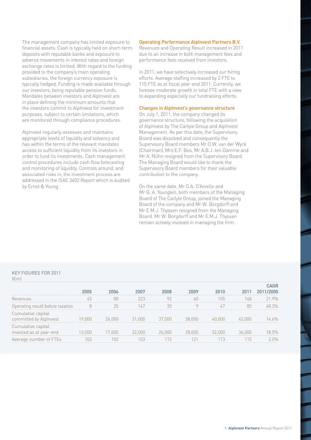The management company has limited exposure to financial assets. Cash is typically held on short-term deposits with reputable banks and exposure to adverse movements in interest rates and foreign exchange rates is limited. With regard to the funding provided to the company's main operating subsidiaries, the foreign currency exposure is typically hedged. Funding is made available through our investors, being reputable pension funds. Mandates between investors and AlpInvest are in place defining the minimum amounts that the investors commit to AlpInvest for investment purposes, subject to certain limitations, which are monitored through compliance procedures.

AlpInvest regularly assesses and maintains appropriate levels of liquidity and solvency and has within the terms of the relevant mandates access to sufficient liquidity from its investors in order to fund its investments. Cash management control procedures include cash flow forecasting and monitoring of liquidity. Controls around, and associated risks in, the investment process are addressed in the ISAE 3402 Report which is audited by Ernst & Young.

#### Operating Performance AlpInvest Partners B.V.

Revenues and Operating Result increased in 2011 due to an increase in both management fees and performance fees received from investors.

In 2011, we have selectively increased our hiring efforts. Average staffing increased by 2 FTE to 115 FTE as at fiscal year-end 2011. Currently, we foresee moderate growth in total FTE with a view to expanding especially our fundraising efforts.

## Changes in AlpInvest's governance structure

On July 1, 2011, the company changed its governance structure, following the acquisition of AlpInvest by The Carlyle Group and AlpInvest Management. As per this date, the Supervisory Board was dissolved and consequently the Supervisory Board members Mr O.W. van der Wyck (Chairman), Mrs E.F. Bos, Mr A.B.J. ten Damme and Mr A. Nühn resigned from the Supervisory Board. The Managing Board would like to thank the Supervisory Board members for their valuable contribution to the company.

On the same date, Mr D.A. D'Aniello and Mr G. A. Youngkin, both members of the Managing Board of The Carlyle Group, joined the Managing Board of the company and Mr W. Borgdorff and Mr E.M.J. Thyssen resigned from the Managing Board. Mr W. Borgdorff and Mr E.M.J. Thyssen remain actively involved in managing the firm.

#### Key figures for 2011  $[Em]$

|                                               |        |        |        |        |             |        |        | <b>CAGR</b> |
|-----------------------------------------------|--------|--------|--------|--------|-------------|--------|--------|-------------|
|                                               | 2005   | 2006   | 2007   | 2008   | 2009        | 2010   | 2011   | 2011/2005   |
| Revenues                                      | 45     | 80     | 223    | 92     | 60          | 105    | 148    | 21.9%       |
| Operating result before taxation              | 8      | 25     | 147    | 35     | $\mathsf Q$ | 47     | 85     | 48.3%       |
| Cumulative capital<br>committed by AlpInvest  | 19,000 | 26,000 | 31,000 | 37,000 | 38,000      | 40,000 | 43,000 | 14.6%       |
| Cumulative capital<br>invested as at year-end | 13.000 | 17,000 | 22,000 | 26,000 | 28,000      | 32,000 | 36,000 | 18.5%       |
| Average number of FTEs                        | 102    | 102    | 103    | 115    | 121         | 113    | 115    | 2.0%        |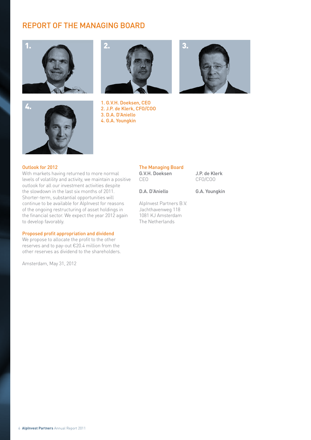## REPORT OF THE MANAGING BOARD













With markets having returned to more normal levels of volatility and activity, we maintain a positive outlook for all our investment activities despite the slowdown in the last six months of 2011. Shorter-term, substantial opportunities will continue to be available for AlpInvest for reasons of the ongoing restructuring of asset holdings in the financial sector. We expect the year 2012 again to develop favorably.

### Proposed profit appropriation and dividend

We propose to allocate the profit to the other reserves and to pay-out €20.4 million from the other reserves as dividend to the shareholders.

Amsterdam, May 31, 2012

### The Managing Board

G.V.H. Doeksen J.P. de Klerk CEO CFO/COO

AlpInvest Partners B.V. Jachthavenweg 118 1081 KJ Amsterdam The Netherlands

D.A. D'Aniello G.A. Youngkin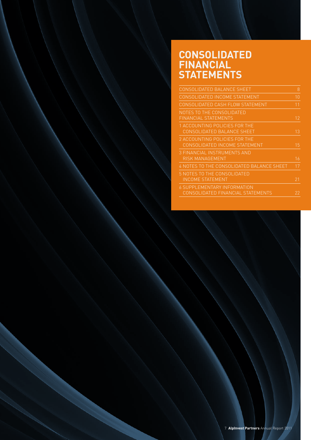# **Consolidated Financial Statements**

| CONSOLIDATED BALANCE SHEET                                       | 8  |
|------------------------------------------------------------------|----|
| CONSOLIDATED INCOME STATEMENT                                    | 10 |
| CONSOLIDATED CASH FLOW STATEMENT                                 | 11 |
| NOTES TO THE CONSOLIDATED<br>FINANCIAL STATEMENTS                | 12 |
| 1 ACCOUNTING POLICIES FOR THE<br>CONSOLIDATED BALANCE SHEET      | 13 |
| 2 ACCOUNTING POLICIES FOR THE<br>CONSOLIDATED INCOME STATEMENT   | 15 |
| 3 FINANCIAL INSTRUMENTS AND<br>RISK MANAGEMENT                   | 16 |
| 4 NOTES TO THE CONSOLIDATED BALANCE SHEET                        | 17 |
| 5 NOTES TO THE CONSOLIDATED<br><b>INCOME STATEMENT</b>           | 21 |
| 6 SUPPLEMENTARY INFORMATION<br>CONSOLIDATED FINANCIAL STATEMENTS | 22 |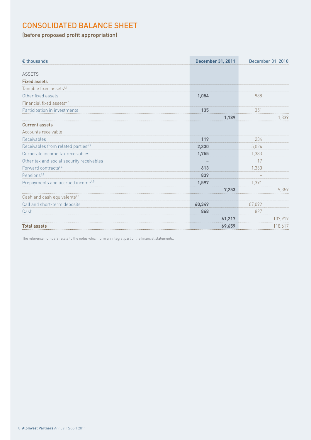## Consolidated balance sheet

(before proposed profit appropriation)

| € thousands                                     | <b>December 31, 2011</b> | December 31, 2010 |
|-------------------------------------------------|--------------------------|-------------------|
|                                                 |                          |                   |
| <b>ASSETS</b>                                   |                          |                   |
| <b>Fixed assets</b>                             |                          |                   |
| Tangible fixed assets <sup>4.1</sup>            |                          |                   |
| Other fixed assets                              | 1,054                    | 988               |
| Financial fixed assets <sup>4.2</sup>           |                          |                   |
| Participation in investments                    | 135                      | 351               |
|                                                 | 1,189                    | 1,339             |
| <b>Current assets</b>                           |                          |                   |
| Accounts receivable                             |                          |                   |
| Receivables                                     | 119                      | 234               |
| Receivables from related parties <sup>4.3</sup> | 2,330                    | 5,024             |
| Corporate income tax receivables                | 1,755                    | 1,333             |
| Other tax and social security receivables       |                          | 17                |
| Forward contracts <sup>4.4</sup>                | 613                      | 1,360             |
| Pensions <sup>4.9</sup>                         | 839                      |                   |
| Prepayments and accrued income <sup>4.5</sup>   | 1,597                    | 1.391             |
|                                                 | 7,253                    | 9,359             |
| Cash and cash equivalents <sup>4.6</sup>        |                          |                   |
| Call and short-term deposits                    | 60,349                   | 107,092           |
| Cash                                            | 868                      | 827               |
|                                                 | 61,217                   | 107,919           |
| <b>Total assets</b>                             | 69,659                   | 118,617           |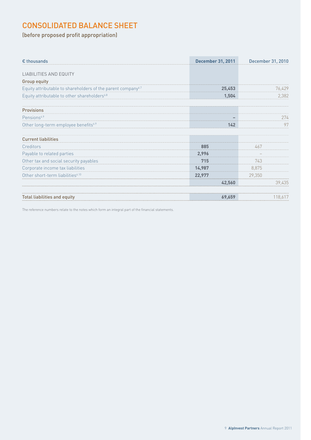## Consolidated balance sheet

(before proposed profit appropriation)

| $\epsilon$ thousands                                                     | <b>December 31, 2011</b> | December 31, 2010 |
|--------------------------------------------------------------------------|--------------------------|-------------------|
|                                                                          |                          |                   |
| <b>LIABILITIES AND EQUITY</b>                                            |                          |                   |
| <b>Group equity</b>                                                      |                          |                   |
| Equity attributable to shareholders of the parent company <sup>4.7</sup> | 25,453                   | 76,429            |
| Equity attributable to other shareholders <sup>4.8</sup>                 | 1,504                    | 2,382             |
|                                                                          |                          |                   |
| <b>Provisions</b>                                                        |                          |                   |
| Pensions <sup>4.9</sup>                                                  |                          | 274               |
| Other long-term employee benefits <sup>4.9</sup>                         | 142                      | 97                |
|                                                                          |                          |                   |
| <b>Current liabilities</b>                                               |                          |                   |
| Creditors                                                                | 885                      | 467               |
| Payable to related parties                                               | 2,996                    |                   |
| Other tax and social security payables                                   | 715                      | 743               |
| Corporate income tax liabilities                                         | 14,987                   | 8,875             |
| Other short-term liabilities <sup>4.10</sup>                             | 22,977                   | 29,350            |
|                                                                          | 42,560                   | 39,435            |
|                                                                          |                          |                   |
| Total liabilities and equity                                             | 69,659                   |                   |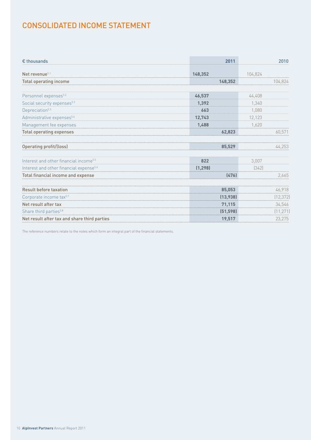# Consolidated income statement

| $\epsilon$ thousands                                | 2011      | 2010      |
|-----------------------------------------------------|-----------|-----------|
| Net revenue <sup>5.1</sup>                          | 148,352   | 104,824   |
| <b>Total operating income</b>                       | 148,352   | 104,824   |
| Personnel expenses <sup>5.2</sup>                   | 46,537    | 44,408    |
| Social security expenses <sup>5.2</sup>             | 1,392     | 1,340     |
| Depreciation <sup>5.3</sup>                         | 663       | 1,080     |
| Administrative expenses <sup>5.4</sup>              | 12,743    | 12,123    |
| Management fee expenses                             | 1,488     | 1.620     |
| <b>Total operating expenses</b>                     | 62,823    | 60.57     |
| <b>Operating profit/(loss)</b>                      | 85,529    | 44.253    |
| Interest and other financial income <sup>5.5</sup>  | 822       | 3,007     |
| Interest and other financial expense <sup>5.6</sup> | (1, 298)  | (342)     |
| <b>Total financial income and expense</b>           | (476)     | 2,665     |
| <b>Result before taxation</b>                       | 85,053    | 46,918    |
| Corporate income tax <sup>5.7</sup>                 | (13,938)  | (12, 372) |
| Net result after tax                                | 71,115    | 34,546    |
| Share third parties <sup>5.8</sup>                  | (51, 598) | (11, 271) |
| Net result after tax and share third parties        | 19,517    | 23,275    |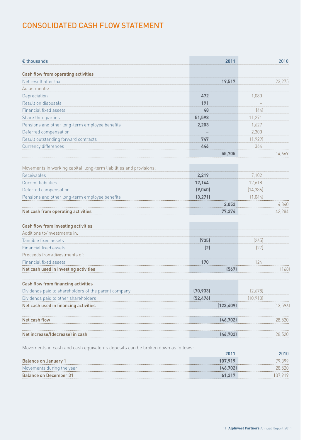## Consolidated cash flow statement

| € thousands                                                         | 2011       |           | 2010     |
|---------------------------------------------------------------------|------------|-----------|----------|
| Cash flow from operating activities                                 |            |           |          |
| Net result after tax                                                | 19,517     |           | 23,275   |
| Adjustments:                                                        |            |           |          |
| Depreciation                                                        | 472        | 1,080     |          |
| Result on disposals                                                 | 191        |           |          |
| <b>Financial fixed assets</b>                                       | 48         | (44)      |          |
| Share third parties                                                 | 51,598     | 11,271    |          |
| Pensions and other long-term employee benefits                      | 2,203      | 1,627     |          |
| Deferred compensation                                               |            | 2,300     |          |
| Result outstanding forward contracts                                | 747        | (1, 929)  |          |
| Currency differences                                                | 446        | 364       |          |
|                                                                     | 55,705     |           | 14,669   |
|                                                                     |            |           |          |
| Movements in working capital, long-term liabilities and provisions: |            |           |          |
| Receivables                                                         | 2,219      | 7,102     |          |
| <b>Current liabilities</b>                                          | 12,144     | 12,618    |          |
| Deferred compensation                                               | (9,040)    | (14, 336) |          |
| Pensions and other long-term employee benefits                      | (3, 271)   | (1,044)   |          |
|                                                                     | 2,052      |           | 4,340    |
| Net cash from operating activities                                  | 77,274     |           | 42,284   |
| Cash flow from investing activities                                 |            |           |          |
| Additions to/investments in:                                        |            |           |          |
| Tangible fixed assets                                               | (735)      | (265)     |          |
| <b>Financial fixed assets</b>                                       | (2)        | (27)      |          |
| Proceeds from/divestments of:                                       |            |           |          |
| <b>Financial fixed assets</b>                                       | 170        | 124       |          |
| Net cash used in investing activities                               | [567]      |           | 1681     |
| Cash flow from financing activities                                 |            |           |          |
| Dividends paid to shareholders of the parent company                | (70, 933)  | [2,678]   |          |
|                                                                     | (52, 476)  | (10, 918) |          |
| Dividends paid to other shareholders                                |            |           |          |
| Net cash used in financing activities                               | (123, 409) |           | (13,596) |
| Net cash flow                                                       | (46, 702)  |           | 28,520   |
| Net increase/IdecreaseJ in cash                                     | (46,702)   |           | 28,520   |
|                                                                     |            |           |          |

Movements in cash and cash equivalents deposits can be broken down as follows:

|                               | 201      | 2010    |
|-------------------------------|----------|---------|
| <b>Balance on January 1</b>   | 107.919  | 79 399  |
| Movements during the year     | (46.702) | 28,520  |
| <b>Balance on December 31</b> | 61.217   | 107 919 |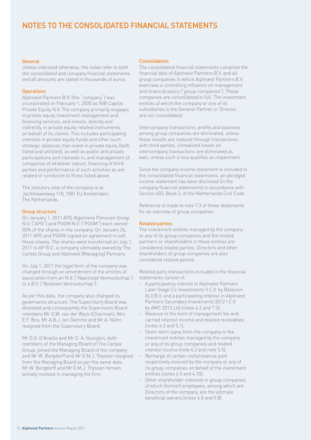## Notes to the consolidated financial statements

#### General

Unless indicated otherwise, the notes refer to both the consolidated and company financial statements and all amounts are stated in thousands of euros.

#### **Operations**

AlpInvest Partners B.V. (the "company") was incorporated on February 1, 2000 as NIB Capital Private Equity N.V. The company primarily engages in private equity investment management and financing services, and invests, directly and indirectly, in private equity-related instruments on behalf of its clients. This includes participating interests in private equity funds and other such strategic alliances that invest in private equity (both listed and unlisted), as well as public and private participations and interests in, and management of, companies of whatever nature, financing of third parties and performance of such activities as are related or conducive to those listed above.

The statutory seat of the company is at Jachthavenweg 118, 1081 KJ Amsterdam, The Netherlands.

#### Group structure

On January 1, 2011 APG Algemene Pensioen Groep N.V. ("APG") and PGGM N.V. ("PGGM") each owned 50% of the shares in the company. On January 26, 2011 APG and PGGM signed an agreement to sell these shares. The shares were transferred on July 1, 2011 to AP B.V., a company ultimately owned by The Carlyle Group and AlpInvest (Managing) Partners.

On July 1, 2011 the legal form of the company was changed through an amendment of the articles of association from an N.V. ("Naamloze Vennootschap") to a B.V. ("Besloten Vennootschap").

As per this date, the company also changed its governance structure. The Supervisory Board was dissolved and consequently the Supervisory Board members Mr O.W. van der Wyck (Chairman), Mrs E.F. Bos, Mr A.B.J. ten Damme and Mr A. Nühn resigned from the Supervisory Board.

Mr D.A. D'Aniello and Mr G. A. Youngkin, both members of the Managing Board of The Carlyle Group, joined the Managing Board of the company and Mr W. Borgdorff and Mr E.M.J. Thyssen resigned from the Managing Board as per the same date. Mr W. Borgdorff and Mr E.M.J. Thyssen remain actively involved in managing the firm.

#### **Consolidation**

The consolidated financial statements comprise the financial data of AlpInvest Partners B.V. and all group companies in which AlpInvest Partners B.V. exercises a controlling influence on management and financial policy ("group companies"). These companies are consolidated in full. The investment entities of which the company or one of its subsidiaries is the General Partner or Director are not consolidated.

Intercompany transactions, profits and balances among group companies are eliminated, unless these results are realized through transactions with third parties. Unrealized losses on intercompany transactions are eliminated as well, unless such a loss qualifies as impairment.

Since the company income statement is included in the consolidated financial statements, an abridged income statement has been disclosed (in the company financial statements) in accordance with Section 402, Book 2, of the Netherlands Civil Code.

Reference is made to note 7.3 of these statements for an overview of group companies.

#### Related parties

The investment entities managed by the company or any of its group companies and the limited partners or shareholders in these entities are considered related parties. Directors and other shareholders of group companies are also considered related parties.

Related party transactions included in the financial statements consist of:

- A participating interest in AlpInvest Partners Later Stage Co-Investments II C.V. by Betacom XLII B.V. and a participating interest in AlpInvest Partners Secondary Investments 2012 I C.V. by AMC 2012 Ltd (notes 4.2 and 7.3);
- Revenue in the form of management fee and carried interest income and related receivables (notes 4.3 and 5.1);
- Short-term loans from the company to the investment entities managed by the company or any of its group companies and related interest income (note 4.3 and note 5.5);
- Recharge of certain costs/revenue paid respectively invoiced by the company or any of its group companies on behalf of the investment entities (notes 4.5 and 4.10);
- Other shareholder interests in group companies of which (former) employees, among which are Directors of the company, are the ultimate beneficial owners (notes 4.8 and 5.8).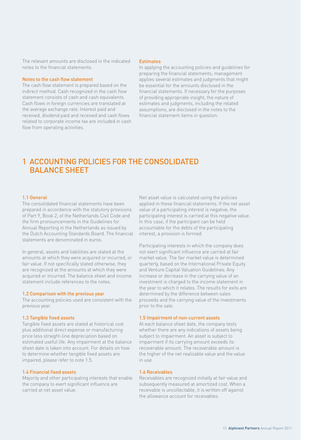The relevant amounts are disclosed in the indicated notes to the financial statements.

#### Notes to the cash flow statement

The cash flow statement is prepared based on the indirect method. Cash recognized in the cash flow statement consists of cash and cash equivalents. Cash flows in foreign currencies are translated at the average exchange rate. Interest paid and received, dividend paid and received and cash flows related to corporate income tax are included in cash flow from operating activities.

#### **Estimates**

In applying the accounting policies and guidelines for preparing the financial statements, management applies several estimates and judgments that might be essential for the amounts disclosed in the financial statements. If necessary for the purposes of providing appropriate insight, the nature of estimates and judgments, including the related assumptions, are disclosed in the notes to the financial statement items in question.

## 1 Accounting policies for the consolidated **BAI ANCE SHEET**

#### 1.1 General

The consolidated financial statements have been prepared in accordance with the statutory provisions of Part 9, Book 2, of the Netherlands Civil Code and the firm pronouncements in the Guidelines for Annual Reporting in the Netherlands as issued by the Dutch Accounting Standards Board. The financial statements are denominated in euros.

In general, assets and liabilities are stated at the amounts at which they were acquired or incurred, or fair value. If not specifically stated otherwise, they are recognized at the amounts at which they were acquired or incurred. The balance sheet and income statement include references to the notes.

#### 1.2 Comparison with the previous year

The accounting policies used are consistent with the previous year.

#### 1.3 Tangible fixed assets

Tangible fixed assets are stated at historical cost plus additional direct expense or manufacturing price less straight-line depreciation based on estimated useful life. Any impairment at the balance sheet date is taken into account. For details on how to determine whether tangible fixed assets are impaired, please refer to note 1.5.

#### 1.4 Financial fixed assets

Majority and other participating interests that enable the company to exert significant influence are carried at net asset value.

Net asset value is calculated using the policies applied in these financial statements. If the net asset value of a participating interest is negative, the participating interest is carried at this negative value. In this case, if the participant can be held accountable for the debts of the participating interest, a provision is formed.

Participating interests in which the company does not exert significant influence are carried at fair market value. The fair market value is determined quarterly, based on the International Private Equity and Venture Capital Valuation Guidelines. Any increase or decrease in the carrying value of an investment is charged to the income statement in the year to which it relates. The results for exits are determined by the difference between sales proceeds and the carrying value of the investments prior to the sale.

#### 1.5 Impairment of non-current assets

At each balance sheet date, the company tests whether there are any indications of assets being subject to impairment. An asset is subject to impairment if its carrying amount exceeds its recoverable amount. The recoverable amount is the higher of the net realizable value and the value in use.

### 1.6 Receivables

Receivables are recognized initially at fair value and subsequently measured at amortized cost. When a receivable is uncollectable, it is written off against the allowance account for receivables.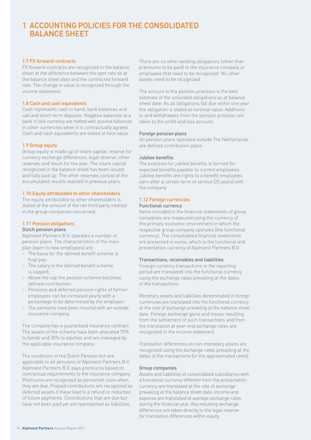## 1 Accounting policies for the consolidated **BALANCE SHEET**

#### 1.7 FX forward-contracts

FX forward-contracts are recognized in the balance sheet at the difference between the spot rate as at the balance sheet date and the contracted forward rate. The change in value is recognized through the income statement.

### 1.8 Cash and cash equivalents

Cash represents cash in hand, bank balances and call and short-term deposits. Negative balances at a bank in one currency are netted with positive balances in other currencies when it is contractually agreed. Cash and cash equivalents are stated at face value.

## 1.9 Group equity

Group equity is made up of share capital, reserve for currency exchange differences, legal reserve, other reserves and result for the year. The share capital recognized in the balance sheet has been issued and fully paid up. The other reserves consist of the accumulated results realized in previous years.

### 1.10 Equity attributable to other shareholders

The equity attributable to other shareholders is stated at the amount of the net third party interest in the group companies concerned.

## 1.11 Pension obligations

#### Dutch pension plans

AlpInvest Partners B.V. operates a number of pension plans. The characteristics of the main plan (open to new employees) are:

- The basis for the defined benefit scheme is final pay;
- The salary in the defined benefit scheme is capped;
- Above the cap the pension scheme becomes defined contribution;
- Pensions and deferred pension rights of former employees can be increased yearly with a percentage to be determined by the employer;
- The pensions have been insured with an outside insurance company.

The company has a guaranteed insurance contract. The assets of the scheme have been allocated 70% to bonds and 30% to equities and are managed by the applicable insurance company.

The conditions of the Dutch Pension Act are applicable to all pensions of AlpInvest Partners B.V. AlpInvest Partners B.V. pays premiums based on contractual requirements to the insurance company. Premiums are recognized as personnel costs when they are due. Prepaid contributions are recognized as deferred assets if these lead to a refund or reduction of future payments. Contributions that are due but have not been paid yet are represented as liabilities.

There are no other existing obligations (other than premiums to be paid) to the insurance company or employees that need to be recognized. No other assets need to be recognized.

The amount in the pension provision is the best estimate of the unfunded obligations as at balance sheet date. As all obligations fall due within one year the obligation is stated at nominal value. Additions to and withdrawals from the pension provision are taken to the profit and loss account.

#### Foreign pension plans

All pension plans operated outside The Netherlands are defined contribution plans.

## Jubilee benefits

The provision for jubilee benefits is formed for expected benefits payable to current employees. Jubilee benefits are rights to a benefit employees earn after a certain term of service (25 years) with the company.

## 1.12 Foreign currencies

#### Functional currency

Items included in the financial statements of group companies are measured using the currency of the primary economic environment in which the respective group company operates (the functional currency). The consolidated financial statements are presented in euros, which is the functional and presentation currency of AlpInvest Partners B.V.

#### Transactions, receivables and liabilities

Foreign currency transactions in the reporting period are translated into the functional currency using the exchange rates prevailing at the dates of the transactions.

Monetary assets and liabilities denominated in foreign currencies are translated into the functional currency at the rate of exchange prevailing at the balance sheet date. Foreign exchange gains and losses resulting from the settlement of such transactions and from the translation at year-end exchange rates are recognized in the income statement.

Translation differences on non-monetary assets are recognized using the exchange rates prevailing at the dates of the transactions (or the approximated rates).

### Group companies

Assets and liabilities of consolidated subsidiaries with a functional currency different from the presentation currency are translated at the rate of exchange prevailing at the balance sheet date; income and expense are translated at average exchange rates during the financial year. Any resulting exchange differences are taken directly to the legal reserve for translation differences within equity.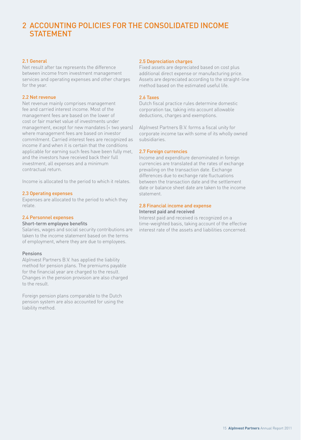## 2 Accounting policies for the consolidated income **STATEMENT**

## 2.1 General

Net result after tax represents the difference between income from investment management services and operating expenses and other charges for the year.

## 2.2 Net revenue

Net revenue mainly comprises management fee and carried interest income. Most of the management fees are based on the lower of cost or fair market value of investments under management, except for new mandates (< two years) where management fees are based on investor commitment. Carried interest fees are recognized as income if and when it is certain that the conditions applicable for earning such fees have been fully met, and the investors have received back their full investment, all expenses and a minimum contractual return.

Income is allocated to the period to which it relates.

### 2.3 Operating expenses

Expenses are allocated to the period to which they relate.

## 2.4 Personnel expenses

#### Short-term employee benefits

Salaries, wages and social security contributions are taken to the income statement based on the terms of employment, where they are due to employees.

#### Pensions

AlpInvest Partners B.V. has applied the liability method for pension plans. The premiums payable for the financial year are charged to the result. Changes in the pension provision are also charged to the result.

Foreign pension plans comparable to the Dutch pension system are also accounted for using the liability method.

#### 2.5 Depreciation charges

Fixed assets are depreciated based on cost plus additional direct expense or manufacturing price. Assets are depreciated according to the straight-line method based on the estimated useful life.

### 2.6 Taxes

Dutch fiscal practice rules determine domestic corporation tax, taking into account allowable deductions, charges and exemptions.

AlpInvest Partners B.V. forms a fiscal unity for corporate income tax with some of its wholly owned subsidiaries.

### 2.7 Foreign currencies

Income and expenditure denominated in foreign currencies are translated at the rates of exchange prevailing on the transaction date. Exchange differences due to exchange rate fluctuations between the transaction date and the settlement date or balance sheet date are taken to the income statement.

#### 2.8 Financial income and expense Interest paid and received

Interest paid and received is recognized on a time-weighted basis, taking account of the effective interest rate of the assets and liabilities concerned.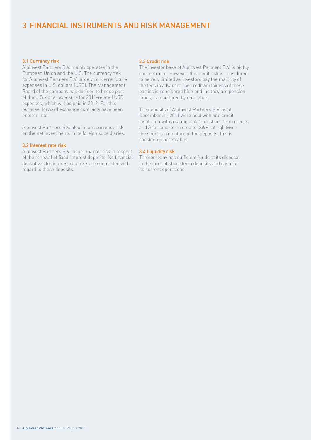## 3 Financial instruments and risk management

#### 3.1 Currency risk

AlpInvest Partners B.V. mainly operates in the European Union and the U.S. The currency risk for AlpInvest Partners B.V. largely concerns future expenses in U.S. dollars (USD). The Management Board of the company has decided to hedge part of the U.S. dollar exposure for 2011-related USD expenses, which will be paid in 2012. For this purpose, forward exchange contracts have been entered into.

AlpInvest Partners B.V. also incurs currency risk on the net investments in its foreign subsidiaries.

### 3.2 Interest rate risk

AlpInvest Partners B.V. incurs market risk in respect of the renewal of fixed-interest deposits. No financial derivatives for interest rate risk are contracted with regard to these deposits.

## 3.3 Credit risk

The investor base of AlpInvest Partners B.V. is highly concentrated. However, the credit risk is considered to be very limited as investors pay the majority of the fees in advance. The creditworthiness of these parties is considered high and, as they are pension funds, is monitored by regulators.

The deposits of AlpInvest Partners B.V. as at December 31, 2011 were held with one credit institution with a rating of A-1 for short-term credits and A for long-term credits (S&P rating). Given the short-term nature of the deposits, this is considered acceptable.

### 3.4 Liquidity risk

The company has sufficient funds at its disposal in the form of short-term deposits and cash for its current operations.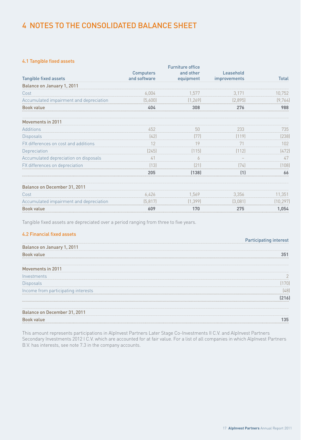## 4 Notes to the consolidated balance sheet

## 4.1 Tangible fixed assets

| <b>Furniture office</b> |                     |              |
|-------------------------|---------------------|--------------|
| and other               | Leasehold           |              |
| equipment               | <i>improvements</i> | <b>Total</b> |
|                         |                     |              |
| 1,577                   | 3,171               | 10,752       |
| (1, 269)                | (2,895)             | (9, 764)     |
| 308                     | 276                 | 988          |
|                         |                     |              |
| 50                      | 233                 | 735          |
| (77)                    | [119]               | (238)        |
| 19                      | 71                  | 102          |
| (115)                   | (112)               | (472)        |
| 6                       |                     | 47           |
| (21)                    | 174                 | 108          |
| [138]                   | (1)                 | 66           |
|                         |                     |              |
| 1,569                   | 3,356               | 11,351       |
| (1.399)                 | (3.081)             | (10, 297)    |
| 170                     | 275                 | 1,054        |
|                         |                     |              |

Tangible fixed assets are depreciated over a period ranging from three to five years.

## 4.2 Financial fixed assets

|                                     | <b>Participating interest</b> |
|-------------------------------------|-------------------------------|
| Balance on January 1, 2011          |                               |
| <b>Book value</b>                   |                               |
| <b>Movements in 2011</b>            |                               |
| Investments                         |                               |
| <b>Disposals</b>                    | 170)                          |
| Income from participating interests | [48]                          |
|                                     | 2161                          |
| Balance on December 31, 2011        |                               |
| <b>Book value</b>                   |                               |

This amount represents participations in AlpInvest Partners Later Stage Co-Investments II C.V. and AlpInvest Partners Secondary Investments 2012 I C.V. which are accounted for at fair value. For a list of all companies in which AlpInvest Partners B.V. has interests, see note 7.3 in the company accounts.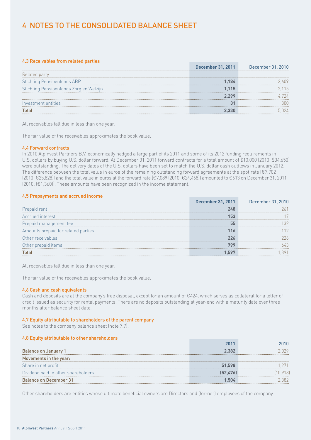## 4 Notes to the consolidated balance sheet

#### 4.3 Receivables from related parties

| <b>December 31, 2011</b> | December 31, 2010 |
|--------------------------|-------------------|
|                          |                   |
| 1.184                    | 609               |
|                          |                   |
|                          |                   |
|                          |                   |
|                          |                   |
|                          |                   |

All receivables fall due in less than one year.

The fair value of the receivables approximates the book value.

### 4.4 Forward contracts

In 2010 AlpInvest Partners B.V. economically hedged a large part of its 2011 and some of its 2012 funding requirements in U.S. dollars by buying U.S. dollar forward. At December 31, 2011 forward contracts for a total amount of \$10,000 (2010: \$34,650) were outstanding. The delivery dates of the U.S. dollars have been set to match the U.S. dollar cash outflows in January 2012. The difference between the total value in euros of the remaining outstanding forward agreements at the spot rate  $(E7,702)$ (2010: €25,828)) and the total value in euros at the forward rate (€7,089 (2010: €24,468)) amounted to €613 on December 31, 2011 (2010: (€1,360)). These amounts have been recognized in the income statement.

### 4.5 Prepayments and accrued income

|                                     | <b>December 31, 2011</b> | December 31, 2010 |
|-------------------------------------|--------------------------|-------------------|
| Prepaid rent                        | 248                      | 261               |
| Accrued interest                    | 153                      |                   |
| Prepaid management fee              | 55                       | 132 <sup>°</sup>  |
| Amounts prepaid for related parties | 116                      | 112.              |
| Other receivables                   | 226                      | 226               |
| Other prepaid items                 | 799                      | 643               |
| <b>Total</b>                        | 1.597                    | 391               |

All receivables fall due in less than one year.

The fair value of the receivables approximates the book value.

#### 4.6 Cash and cash equivalents

Cash and deposits are at the company's free disposal, except for an amount of  $\epsilon$ 424, which serves as collateral for a letter of credit issued as security for rental payments. There are no deposits outstanding at year-end with a maturity date over three months after balance sheet date.

### 4.7 Equity attributable to shareholders of the parent company

See notes to the company balance sheet (note 7.7).

## 4.8 Equity attributable to other shareholders

| 2011                                            | 2010   |
|-------------------------------------------------|--------|
| <b>Balance on January 1</b><br>2.382            |        |
| Movements in the year:                          |        |
| Share in net profit<br>51.598                   |        |
| Dividend paid to other shareholders<br>[52.476] | 10.918 |
| <b>Balance on December 31</b><br>1.504          |        |

Other shareholders are entities whose ultimate beneficial owners are Directors and (former) employees of the company.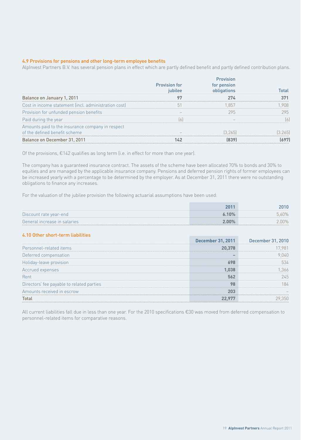## 4.9 Provisions for pensions and other long-term employee benefits

AlpInvest Partners B.V. has several pension plans in effect which are partly defined benefit and partly defined contribution plans.

|                                                                                   | <b>Provision for</b><br>jubilee | Provision<br>for pension<br>obligations | <b>Total</b> |
|-----------------------------------------------------------------------------------|---------------------------------|-----------------------------------------|--------------|
| Balance on January 1, 2011                                                        |                                 | 274                                     |              |
| Cost in income statement (incl. administration cost)                              | $b^{\dagger}$                   | 1.857                                   | .908         |
| Provision for unfunded pension benefits                                           |                                 | 295                                     | 295          |
| Paid during the year                                                              |                                 |                                         | 161          |
| Amounts paid to the insurance company in respect<br>of the defined benefit scheme |                                 | [3.265]                                 | 13 2651      |
| Balance on December 31, 2011                                                      |                                 | 8391)                                   | 6971         |

Of the provisions, €142 qualifies as long term (i.e. in effect for more than one year).

The company has a guaranteed insurance contract. The assets of the scheme have been allocated 70% to bonds and 30% to equities and are managed by the applicable insurance company. Pensions and deferred pension rights of former employees can be increased yearly with a percentage to be determined by the employer. As at December 31, 2011 there were no outstanding obligations to finance any increases.

For the valuation of the jubilee provision the following actuarial assumptions have been used:

| Discount rate year-end       | 6.10%    | 5.60%   |
|------------------------------|----------|---------|
| General increase in salaries | $2.00\%$ | $.00\%$ |

### 4.10 Other short-term liabilities

|                                           | <b>December 31, 2011</b> | December 31, 2010 |
|-------------------------------------------|--------------------------|-------------------|
| Personnel-related items                   | 20,378                   | 17,981            |
| Deferred compensation                     |                          | 9,040             |
| Holiday-leave provision                   | 698                      | 534               |
| Accrued expenses                          | 1.038                    | .366              |
| Rent                                      | 562                      | 245               |
| Directors' fee payable to related parties | 98                       | 184               |
| Amounts received in escrow                | 203                      |                   |
| <b>Total</b>                              | 22.977                   | 29.350            |

All current liabilities fall due in less than one year. For the 2010 specifications €30 was moved from deferred compensation to personnel-related items for comparative reasons.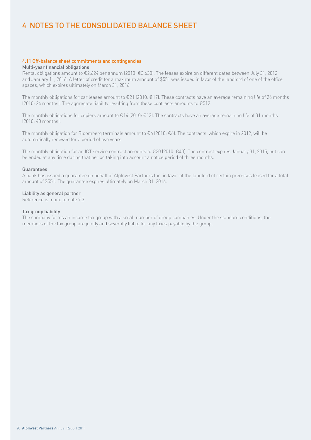## 4 Notes to the consolidated balance sheet

## 4.11 Off-balance sheet commitments and contingencies

#### Multi-year financial obligations

Rental obligations amount to €2,624 per annum (2010: €3,630). The leases expire on different dates between July 31, 2012 and January 11, 2016. A letter of credit for a maximum amount of \$551 was issued in favor of the landlord of one of the office spaces, which expires ultimately on March 31, 2016.

The monthly obligations for car leases amount to €21 (2010: €17). These contracts have an average remaining life of 26 months  $(2010: 24$  months). The aggregate liability resulting from these contracts amounts to  $\epsilon$ 512.

The monthly obligations for copiers amount to €14 (2010: €13). The contracts have an average remaining life of 31 months (2010: 40 months).

The monthly obligation for Bloomberg terminals amount to €6 (2010: €6). The contracts, which expire in 2012, will be automatically renewed for a period of two years.

The monthly obligation for an ICT service contract amounts to €20 (2010: €40). The contract expires January 31, 2015, but can be ended at any time during that period taking into account a notice period of three months.

## Guarantees

A bank has issued a guarantee on behalf of AlpInvest Partners Inc. in favor of the landlord of certain premises leased for a total amount of \$551. The guarantee expires ultimately on March 31, 2016.

#### Liability as general partner

Reference is made to note 7.3.

#### Tax group liability

The company forms an income tax group with a small number of group companies. Under the standard conditions, the members of the tax group are jointly and severally liable for any taxes payable by the group.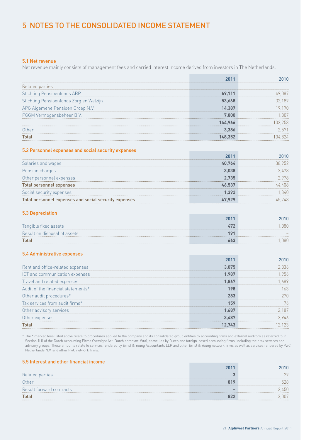## 5 Notes to the consolidated income statement

#### 5.1 Net revenue

Net revenue mainly consists of management fees and carried interest income derived from investors in The Netherlands.

|                                         | 201     |        |
|-----------------------------------------|---------|--------|
| Related parties                         |         |        |
| <b>Stichting Pensioenfonds ABP</b>      | 69,111  | 49,087 |
| Stichting Pensioenfonds Zorg en Welzijn | 53,668  | 32,189 |
| APG Algemene Pensioen Groep N.V.        | 14.387  | 19.170 |
| PGGM Vermogensbeheer B.V.               | 7.800   | .807   |
|                                         | 144.966 | 02,253 |
| (Ither                                  | 3.386   | ን 571  |
| Total                                   | 148.352 | 04 824 |

### 5.2 Personnel expenses and social security expenses

|                                                       | 2011   | 2010   |
|-------------------------------------------------------|--------|--------|
| Salaries and wages                                    | 40.764 | 38,952 |
| Pension charges                                       | 3.038  | 2,478  |
| Other personnel expenses                              | 2.735  | 2.978  |
| Total personnel expenses                              | 46.537 | 44.408 |
| Social security expenses                              | 1.392  | 1.340  |
| Total personnel expenses and social security expenses | 47.929 | 45.748 |

## 5.3 Depreciation

| Tangible fixed assets        | 780 |
|------------------------------|-----|
| Result on disposal of assets |     |
| Total                        | ายด |

## 5.4 Administrative expenses

|                                    | 2011   | 2010  |
|------------------------------------|--------|-------|
| Rent and office-related expenses   | 3,075  | 2,836 |
| ICT and communication expenses     | 1,987  | 1,956 |
| Travel and related expenses        | 1.867  | 1,689 |
| Audit of the financial statements* | 198    | 163   |
| Other audit procedures*            | 283    | 270   |
| Tax services from audit firms*     | 159    | 76    |
| Other advisory services            | 1,687  | 2,187 |
| Other expenses                     | 3.487  | 2.946 |
| <b>Total</b>                       | 12.743 | 2.123 |

\* The \* marked fees listed above relate to procedures applied to the company and its consolidated group entities by accounting firms and external auditors as referred to in Section 1(1) of the Dutch Accounting Firms Oversight Act (Dutch acronym: Wta), as well as by Dutch and foreign-based accounting firms, including their tax services and advisory groups. These amounts relate to services rendered by Ernst & Young Accountants LLP and other Ernst & Young network firms as well as services rendered by PwC Netherlands N.V. and other PwC network firms.

## 5.5 Interest and other financial income

| Related parties          |      |
|--------------------------|------|
| Other                    |      |
| Result forward contracts | .450 |
| Total                    | .007 |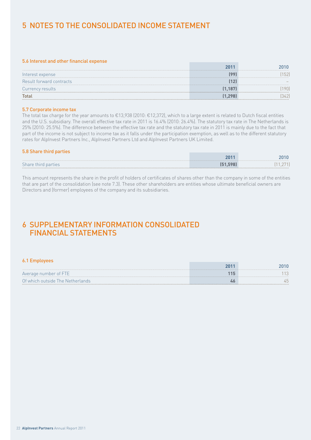## 5 Notes to the consolidated income statement

#### 5.6 Interest and other financial expense

|                          |         | 2010 |
|--------------------------|---------|------|
| Interest expense         |         | 1521 |
| Result forward contracts |         |      |
| Currency results         | (1.187) | 90)  |
| <b>Total</b>             | (1.298) |      |

#### 5.7 Corporate income tax

The total tax charge for the year amounts to €13,938 (2010: €12,372), which to a large extent is related to Dutch fiscal entities and the U.S. subsidiary. The overall effective tax rate in 2011 is 16.4% (2010: 26.4%). The statutory tax rate in The Netherlands is 25% (2010: 25.5%). The difference between the effective tax rate and the statutory tax rate in 2011 is mainly due to the fact that part of the income is not subject to income tax as it falls under the participation exemption, as well as to the different statutory rates for AlpInvest Partners Inc., AlpInvest Partners Ltd and AlpInvest Partners UK Limited.

## 5.8 Share third parties

|                     | 2011     | 2010 |
|---------------------|----------|------|
| Share third parties | [51.598] |      |

This amount represents the share in the profit of holders of certificates of shares other than the company in some of the entities that are part of the consolidation (see note 7.3). These other shareholders are entities whose ultimate beneficial owners are Directors and (former) employees of the company and its subsidiaries.

## 6 Supplementary information consolidated financial statements

| 6.1 Employees                    |      |      |
|----------------------------------|------|------|
|                                  | 101' | 2010 |
| Average number of FTE            | 115  |      |
| Of which outside The Netherlands |      |      |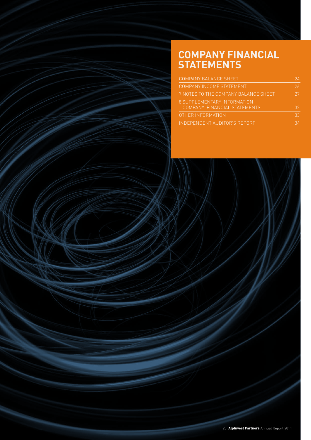# **company financial Statements**

| COMPANY BALANCE SHEET                                       | 24. |
|-------------------------------------------------------------|-----|
| COMPANY INCOME STATEMENT                                    | 26  |
| 7 NOTES TO THE COMPANY BALANCE SHEET                        | 27  |
| 8 SUPPLEMENTARY INFORMATION<br>COMPANY FINANCIAL STATEMENTS | 32. |
| OTHER INFORMATION                                           | 33  |
| INDEPENDENT AUDITOR'S REPORT                                | 2/  |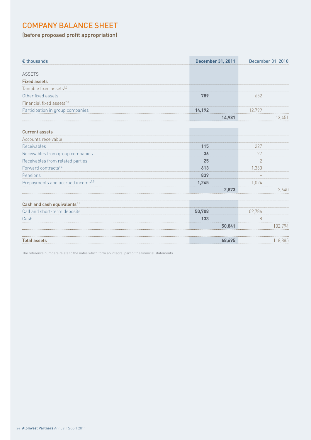## Company balance sheet

(before proposed profit appropriation)

| € thousands                                   | <b>December 31, 2011</b> | December 31, 2010 |
|-----------------------------------------------|--------------------------|-------------------|
|                                               |                          |                   |
| <b>ASSETS</b>                                 |                          |                   |
| <b>Fixed assets</b>                           |                          |                   |
| Tangible fixed assets <sup>7.2</sup>          |                          |                   |
| Other fixed assets                            | 789                      | 652               |
| Financial fixed assets <sup>7.3</sup>         |                          |                   |
| Participation in group companies              | 14,192                   | 12,799            |
|                                               | 14,981                   | 13,451            |
| <b>Current assets</b>                         |                          |                   |
| Accounts receivable                           |                          |                   |
| Receivables                                   | 115                      | 227               |
| Receivables from group companies              | 36                       | 27                |
| Receivables from related parties              | 25                       | $\overline{2}$    |
| Forward contracts <sup>7.4</sup>              | 613                      | 1,360             |
| Pensions                                      | 839                      |                   |
| Prepayments and accrued income <sup>7.5</sup> | 1,245                    | 1,024             |
|                                               | 2,873                    | 2,640             |
| Cash and cash equivalents <sup>7.6</sup>      |                          |                   |
|                                               |                          |                   |
| Call and short-term deposits                  | 50,708                   | 102,786           |
| Cash                                          | 133                      | 8                 |
|                                               | 50,841                   | 102,794           |
| <b>Total assets</b>                           | 68,695                   | 118,885           |
|                                               |                          |                   |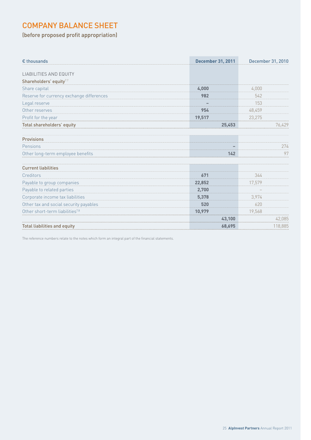## Company balance sheet

(before proposed profit appropriation)

| $\epsilon$ thousands                        | <b>December 31, 2011</b> | December 31, 2010 |
|---------------------------------------------|--------------------------|-------------------|
| <b>LIABILITIES AND EQUITY</b>               |                          |                   |
| Shareholders' equity <sup>7.7</sup>         |                          |                   |
| Share capital                               | 4,000                    | 4,000             |
| Reserve for currency exchange differences   | 982                      | 542               |
| Legal reserve                               |                          | 153               |
| Other reserves                              | 954                      | 48,459            |
| Profit for the year                         | 19,517                   | 23,275            |
| Total shareholders' equity                  | 25,453                   | 76,429            |
| Provisions                                  |                          |                   |
| Pensions                                    |                          | 274               |
| Other long-term employee benefits           | 142                      | 97                |
| <b>Current liabilities</b>                  |                          |                   |
| Creditors                                   | 671                      | 344               |
| Payable to group companies                  | 22,852                   | 17,579            |
| Payable to related parties                  | 2,700                    |                   |
| Corporate income tax liabilities            | 5,378                    | 3,974             |
| Other tax and social security payables      | 520                      | 620               |
| Other short-term liabilities <sup>7.8</sup> | 10,979                   | 19,568            |
|                                             | 43,100                   | 42,085            |
| <b>Total liabilities and equity</b>         | 68,695                   | 118,885           |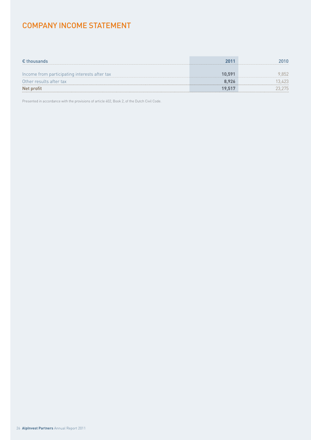## Company income statement

| $\epsilon$ thousands                          | 2011   | 2በ1በ  |
|-----------------------------------------------|--------|-------|
| Income from participating interests after tax | 10.591 | 852   |
| Other results after tax                       | 8.926  | 3.423 |
| Net profit                                    | 19.517 | 3.275 |

Presented in accordance with the provisions of article 402, Book 2, of the Dutch Civil Code.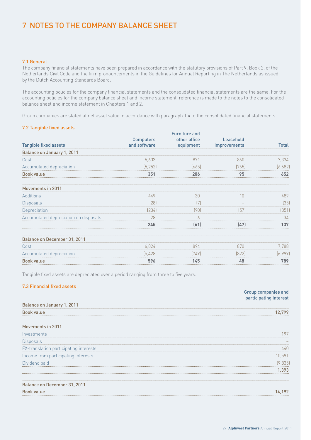## 7.1 General

The company financial statements have been prepared in accordance with the statutory provisions of Part 9, Book 2, of the Netherlands Civil Code and the firm pronouncements in the Guidelines for Annual Reporting in The Netherlands as issued by the Dutch Accounting Standards Board.

The accounting policies for the company financial statements and the consolidated financial statements are the same. For the accounting policies for the company balance sheet and income statement, reference is made to the notes to the consolidated balance sheet and income statement in Chapters 1 and 2.

Group companies are stated at net asset value in accordance with paragraph 1.4 to the consolidated financial statements.

#### 7.2 Tangible fixed assets

|                                       |                  | <b>Furniture and</b> |                     |         |
|---------------------------------------|------------------|----------------------|---------------------|---------|
|                                       | <b>Computers</b> | other office         | Leasehold           |         |
| <b>Tangible fixed assets</b>          | and software     | equipment            | <i>improvements</i> | Total   |
| Balance on January 1, 2011            |                  |                      |                     |         |
| Cost                                  | 5,603            | 871                  | 860                 | 7,334   |
| Accumulated depreciation              | (5, 252)         | [665]                | (765)               | (6,682) |
| <b>Book value</b>                     | 351              | 206                  | 95                  | 652     |
| <b>Movements in 2011</b>              |                  |                      |                     |         |
| <b>Additions</b>                      | 449              | 30                   | 10                  | 489     |
| <b>Disposals</b>                      | [28]             | 7                    |                     | (35)    |
| Depreciation                          | [204]            | (90)                 | (57)                | (351)   |
| Accumulated depreciation on disposals | 28               |                      |                     | 34      |
|                                       | 245              | [61]                 | 147                 |         |
| Balance on December 31, 2011          |                  |                      |                     |         |
| Cost                                  | 6,024            | 894                  | 870                 | 7,788   |
| Accumulated depreciation              | [5,428]          | [749]                | [822]               | (6,999) |
| <b>Book value</b>                     | 596              | 145                  | 48                  | 789     |
|                                       |                  |                      |                     |         |

Tangible fixed assets are depreciated over a period ranging from three to five years.

### 7.3 Financial fixed assets

|                                        | <b>Group companies and</b> |
|----------------------------------------|----------------------------|
|                                        | participating interest     |
| Balance on January 1, 2011             |                            |
| Book value                             | 12.799                     |
| <b>Movements in 2011</b>               |                            |
| Investments                            | 197                        |
| <b>Disposals</b>                       |                            |
| FX-translation participating interests | 440                        |
| Income from participating interests    | 10,591                     |
| Dividend paid                          | [9.835]                    |
|                                        | 1.393                      |
| Balance on December 31, 2011           |                            |
| <b>Book value</b>                      | 14.192                     |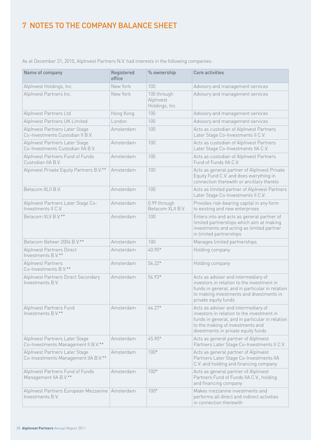As at December 31, 2010, AlpInvest Partners N.V. had interests in the following companies:

| Name of company                                                        | Registered<br>office | % ownership                                | <b>Core activities</b>                                                                                                                                                                                          |
|------------------------------------------------------------------------|----------------------|--------------------------------------------|-----------------------------------------------------------------------------------------------------------------------------------------------------------------------------------------------------------------|
| AlpInvest Holdings, Inc.                                               | New York             | 100                                        | Advisory and management services                                                                                                                                                                                |
| AlpInvest Partners Inc.                                                | New York             | 100 through<br>AlpInvest<br>Holdings, Inc. | Advisory and management services                                                                                                                                                                                |
| AlpInvest Partners Ltd                                                 | Hong Kong            | 100                                        | Advisory and management services                                                                                                                                                                                |
| AlpInvest Partners UK Limited                                          | London               | 100                                        | Advisory and management services                                                                                                                                                                                |
| AlpInvest Partners Later Stage<br>Co-Investments Custodian II B.V.     | Amsterdam            | 100                                        | Acts as custodian of AlpInvest Partners<br>Later Stage Co-Investments II C.V.                                                                                                                                   |
| AlpInvest Partners Later Stage<br>Co-Investments Custodian IIA B.V.    | Amsterdam            | 100                                        | Acts as custodian of AlpInvest Partners<br>Later Stage Co-Investments IIA C.V.                                                                                                                                  |
| AlpInvest Partners Fund of Funds<br>Custodian IIA B.V.                 | Amsterdam            | 100                                        | Acts as custodian of AlpInvest Partners<br>Fund of Funds IIA C.V.                                                                                                                                               |
| Alpinvest Private Equity Partners B.V.**                               | Amsterdam            | 100                                        | Acts as general partner of AlpInvest Private<br>Equity Fund C.V. and does everything in<br>connection therewith or ancillary thereto                                                                            |
| Betacom XLII B.V.                                                      | Amsterdam            | 100                                        | Acts as limited partner of AlpInvest Partners<br>Later Stage Co-Investments II C.V.                                                                                                                             |
| AlpInvest Partners Later Stage Co-<br>Investments II C.V.              | Amsterdam            | 0.99 through<br>Betacom XLII B.V.          | Provides risk-bearing capital in any form<br>to existing and new enterprises                                                                                                                                    |
| Betacom XLV B.V.**                                                     | Amsterdam            | 100                                        | Enters into and acts as general partner of<br>limited partnerships which aim at making<br>investments and acting as limited partner<br>in limited partnerships                                                  |
| Betacom Beheer 2004 B.V.**                                             | Amsterdam            | 100                                        | Manages limited partnerships                                                                                                                                                                                    |
| <b>AlpInvest Partners Direct</b><br>Investments B.V.**                 | Amsterdam            | 40.90*                                     | Holding company                                                                                                                                                                                                 |
| <b>AlpInvest Partners</b><br>Co-Investments B.V.**                     | Amsterdam            | $56.22*$                                   | Holding company                                                                                                                                                                                                 |
| AlpInvest Partners Direct Secondary<br>Investments B.V.                | Amsterdam            | 56.93*                                     | Acts as adviser and intermediary of<br>investors in relation to the investment in<br>funds in general, and in particular in relation<br>to making investments and divestments in<br>private equity funds        |
| Alpinvest Partners Fund<br>Investments B.V.**                          | Amsterdam            | $64.27*$                                   | Acts as adviser and intermediary of<br>investors in relation to the investment in<br>funds in general, and in particular in relation<br>to the making of investments and<br>divestments in private equity funds |
| AlpInvest Partners Later Stage<br>Co-Investments Management II B.V.**  | Amsterdam            | 45.90*                                     | Acts as general partner of AlpInvest<br>Partners Later Stage Co-Investments II C.V.                                                                                                                             |
| AlpInvest Partners Later Stage<br>Co-Investments Management IIA B.V.** | Amsterdam            | $100*$                                     | Acts as general partner of AlpInvest<br>Partners Later Stage Co-Investments IIA<br>C.V. and holding and financing company                                                                                       |
| AlpInvest Partners Fund of Funds<br>Management IIA B.V.**              | Amsterdam            | $100*$                                     | Acts as general partner of AlpInvest<br>Partners Fund of Funds IIA C.V., holding<br>and financing company                                                                                                       |
| AlpInvest Partners European Mezzanine   Amsterdam<br>Investments B.V.  |                      | $100*$                                     | Makes mezzanine investments and<br>performs all direct and indirect activities<br>in connection therewith                                                                                                       |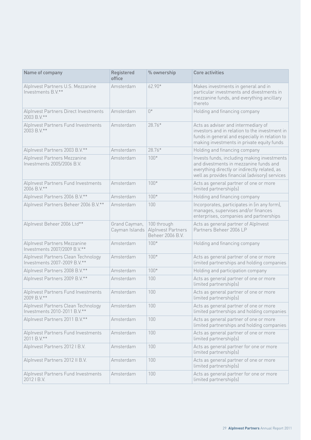| Name of company                                                     | Registered<br>office            | % ownership                                           | <b>Core activities</b>                                                                                                                                                                   |
|---------------------------------------------------------------------|---------------------------------|-------------------------------------------------------|------------------------------------------------------------------------------------------------------------------------------------------------------------------------------------------|
| AlpInvest Partners U.S. Mezzanine<br>Investments B.V.**             | Amsterdam                       | $62.90*$                                              | Makes investments in general and in<br>particular investments and divestments in<br>mezzanine funds, and everything ancillary<br>thereto                                                 |
| AlpInvest Partners Direct Investments<br>2003 B.V.**                | Amsterdam                       | $\bigcap^*$                                           | Holding and financing company                                                                                                                                                            |
| AlpInvest Partners Fund Investments<br>2003 B.V.**                  | Amsterdam                       | 28.76*                                                | Acts as adviser and intermediary of<br>investors and in relation to the investment in<br>funds in general and especially in relation to<br>making investments in private equity funds    |
| AlpInvest Partners 2003 B.V.**                                      | Amsterdam                       | 28.76*                                                | Holding and financing company                                                                                                                                                            |
| AlpInvest Partners Mezzanine<br>Investments 2005/2006 B.V.          | Amsterdam                       | $100*$                                                | Invests funds, including making investments<br>and divestments in mezzanine funds and<br>everything directly or indirectly related, as<br>well as provides financial (advisory) services |
| AlpInvest Partners Fund Investments<br>2006 B.V.**                  | Amsterdam                       | $100*$                                                | Acts as general partner of one or more<br>limited partnership(s)                                                                                                                         |
| AlpInvest Partners 2006 B.V.**                                      | Amsterdam                       | $100*$                                                | Holding and financing company                                                                                                                                                            |
| AlpInvest Partners Beheer 2006 B.V.**                               | Amsterdam                       | 100                                                   | Incorporates, participates in (in any form),<br>manages, supervises and/or finances<br>enterprises, companies and partnerships                                                           |
| AlpInvest Beheer 2006 Ltd**                                         | Grand Cayman,<br>Cayman Islands | 100 through<br>AlpInvest Partners<br>Beheer 2006 B.V. | Acts as general partner of AlpInvest<br>Partners Beheer 2006 LP                                                                                                                          |
| AlpInvest Partners Mezzanine<br>Investments 2007/2009 B.V.**        | Amsterdam                       | $100*$                                                | Holding and financing company                                                                                                                                                            |
| AlpInvest Partners Clean Technology<br>Investments 2007-2009 B.V.** | Amsterdam                       | 100*                                                  | Acts as general partner of one or more<br>limited partnerships and holding companies                                                                                                     |
| AlpInvest Partners 2008 B.V.**                                      | Amsterdam                       | 100*                                                  | Holding and participation company                                                                                                                                                        |
| AlpInvest Partners 2009 B.V.**                                      | Amsterdam                       | 100                                                   | Acts as general partner of one or more<br>limited partnership(s)                                                                                                                         |
| AlpInvest Partners Fund Investments<br>2009 B.V.**                  | Amsterdam                       | 100                                                   | Acts as general partner of one or more<br>limited partnership(s)                                                                                                                         |
| AlpInvest Partners Clean Technology<br>Investments 2010-2011 B.V.** | Amsterdam                       | 100                                                   | Acts as general partner of one or more<br>limited partnerships and holding companies                                                                                                     |
| AlpInvest Partners 2011 B.V.**                                      | Amsterdam                       | 100                                                   | Acts as general partner of one or more<br>limited partnerships and holding companies                                                                                                     |
| AlpInvest Partners Fund Investments<br>2011 B.V.**                  | Amsterdam                       | 100                                                   | Acts as general partner of one or more<br>limited partnership(s)                                                                                                                         |
| AlpInvest Partners 2012   B.V.                                      | Amsterdam                       | 100                                                   | Acts as general partner for one or more<br>limited partnership(s)                                                                                                                        |
| AlpInvest Partners 2012 II B.V.                                     | Amsterdam                       | 100                                                   | Acts as general partner of one or more<br>limited partnership(s)                                                                                                                         |
| AlpInvest Partners Fund Investments<br>2012   B.V.                  | Amsterdam                       | 100                                                   | Acts as general partner for one or more<br>limited partnership(s)                                                                                                                        |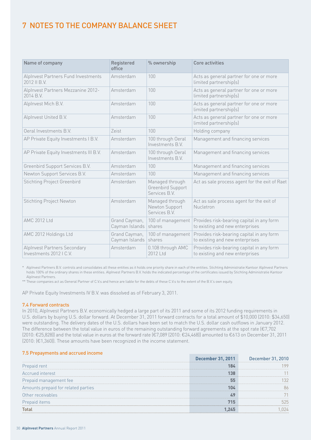| Name of company                                                | Registered<br>office                     | % ownership                                                  | Core activities                                                              |
|----------------------------------------------------------------|------------------------------------------|--------------------------------------------------------------|------------------------------------------------------------------------------|
| AlpInvest Partners Fund Investments<br>2012 II B V             | Amsterdam                                | 100                                                          | Acts as general partner for one or more<br>limited partnership(s)            |
| AlpInvest Partners Mezzanine 2012-<br>2014 B.V.                | Amsterdam                                | 100                                                          | Acts as general partner for one or more<br>limited partnership(s)            |
| AlpInvest Mich B.V.                                            | Amsterdam                                | 100                                                          | Acts as general partner for one or more<br>limited partnership(s)            |
| AlpInvest United B.V.                                          | Amsterdam                                | 100                                                          | Acts as general partner for one or more<br>limited partnership(s)            |
| Oeral Investments B.V.                                         | Zeist                                    | 100                                                          | Holding company                                                              |
| AP Private Equity Investments I B.V.                           | Amsterdam                                | 100 through Oeral<br>Investments B.V.                        | Management and financing services                                            |
| AP Private Equity Investments III B.V.                         | Amsterdam                                | 100 through Oeral<br>Investments B.V.                        | Management and financing services                                            |
| Greenbird Support Services B.V.                                | Amsterdam                                | 100                                                          | Management and financing services                                            |
| Newton Support Services B.V.                                   | Amsterdam                                | 100                                                          | Management and financing services                                            |
| <b>Stichting Project Greenbird</b>                             | Amsterdam                                | Managed through<br><b>Greenbird Support</b><br>Services B.V. | Act as sale process agent for the exit of Raet                               |
| <b>Stichting Project Newton</b>                                | Amsterdam                                | Managed through<br>Newton Support<br>Services BV             | Act as sale process agent for the exit of<br>Nucletron                       |
| <b>AMC 2012 Ltd</b>                                            | Grand Cayman,<br>Cayman Islands          | 100 of management<br>shares                                  | Provides risk-bearing capital in any form<br>to existing and new enterprises |
| AMC 2012 Holdings Ltd                                          | Grand Cayman,<br>Cayman Islands   shares | 100 of management                                            | Provides risk-bearing capital in any form<br>to existing and new enterprises |
| <b>AlpInvest Partners Secondary</b><br>Investments 2012   C.V. | Amsterdam                                | 0.108 through AMC<br>2012 Ltd                                | Provides risk-bearing capital in any form<br>to existing and new enterprises |

\* AlpInvest Partners B.V. controls and consolidates all these entities as it holds one priority share in each of the entities. Stichting Administratie Kantoor AlpInvest Partners holds 100% of the ordinary shares in these entities. AlpInvest Partners B.V. holds the indicated percentage of the certificates issued by Stichting Administratie Kantoor AlpInvest Partners.

\*\* These companies act as General Partner of C.V.s and hence are liable for the debts of these C.V.s to the extent of the B.V.'s own equity.

AP Private Equity Investments IV B.V. was dissolved as of February 3, 2011.

#### 7.4 Forward contracts

In 2010, AlpInvest Partners B.V. economically hedged a large part of its 2011 and some of its 2012 funding requirements in U.S. dollars by buying U.S. dollar forward. At December 31, 2011 forward contracts for a total amount of \$10,000 (2010: \$34,650) were outstanding. The delivery dates of the U.S. dollars have been set to match the U.S. dollar cash outflows in January 2012. The difference between the total value in euros of the remaining outstanding forward agreements at the spot rate  $(E7,702)$ (2010: €25,828)) and the total value in euros at the forward rate (€7,089 (2010: €24,468)) amounted to €613 on December 31, 2011 (2010: (€1,360)). These amounts have been recognized in the income statement.

#### 7.5 Prepayments and accrued income

|                                     | <b>December 31, 2011</b> | December 31, 2010 |
|-------------------------------------|--------------------------|-------------------|
| Prepaid rent                        | 184                      | 199               |
| Accrued interest                    | 138                      |                   |
| Prepaid management fee              | 55                       | 132               |
| Amounts prepaid for related parties | 104                      | 86                |
| Other receivables                   | 49                       |                   |
| Prepaid items                       | 715                      | 525               |
| Total                               | 1.245                    | 024               |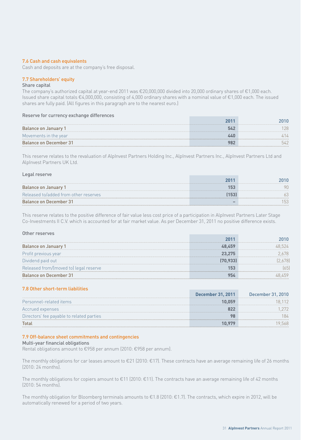## 7.6 Cash and cash equivalents

Cash and deposits are at the company's free disposal.

### 7.7 Shareholders' equity

## Share capital

The company's authorized capital at year-end 2011 was €20,000,000 divided into 20,000 ordinary shares of €1,000 each. Issued share capital totals €4,000,000, consisting of 4,000 ordinary shares with a nominal value of €1,000 each. The issued shares are fully paid. (All figures in this paragraph are to the nearest euro.)

#### Reserve for currency exchange differences

|                               |     | 2010 |
|-------------------------------|-----|------|
| <b>Balance on January 1</b>   | 542 | -28  |
| Movements in the year         | 440 |      |
| <b>Balance on December 31</b> | 982 |      |

This reserve relates to the revaluation of AlpInvest Partners Holding Inc., AlpInvest Partners Inc., AlpInvest Partners Ltd and AlpInvest Partners UK Ltd.

### Legal reserve

|                                       |       | 2በ1በ |
|---------------------------------------|-------|------|
| <b>Balance on January 1</b>           | 153   | חכ   |
| Released to/added from other reserves | (153) |      |
| <b>Balance on December 31</b>         |       | 153  |

This reserve relates to the positive difference of fair value less cost price of a participation in AlpInvest Partners Later Stage Co-Investments II C.V. which is accounted for at fair market value. As per December 31, 2011 no positive difference exists.

#### Other reserves

|                                        |          | 2010   |
|----------------------------------------|----------|--------|
| <b>Balance on January 1</b>            | 48.459   | 48,524 |
| Profit previous year                   | 23.275   | 2,678  |
| Dividend paid out                      | (70.933) | 2.678  |
| Released from/(moved to) legal reserve | 153      | (65)   |
| <b>Balance on December 31</b>          | 954      | 48.459 |

## 7.8 Other short-term liabilities

|                                           | <b>December 31, 2011</b> | December 31, 2010 |
|-------------------------------------------|--------------------------|-------------------|
| Personnel-related items                   | 10.059                   | 18 112            |
| Accrued expenses                          |                          |                   |
| Directors' fee payable to related parties |                          | 184               |
| Total                                     | 10.979                   | 19.568            |

### 7.9 Off-balance sheet commitments and contingencies

#### Multi-year financial obligations

Rental obligations amount to €958 per annum (2010: €958 per annum).

The monthly obligations for car leases amount to  $\epsilon$ 21 (2010:  $\epsilon$ 17). These contracts have an average remaining life of 26 months (2010: 24 months).

The monthly obligations for copiers amount to €11 (2010: €11). The contracts have an average remaining life of 42 months (2010: 54 months).

The monthly obligation for Bloomberg terminals amounts to €1.8 (2010: €1.7). The contracts, which expire in 2012, will be automatically renewed for a period of two years.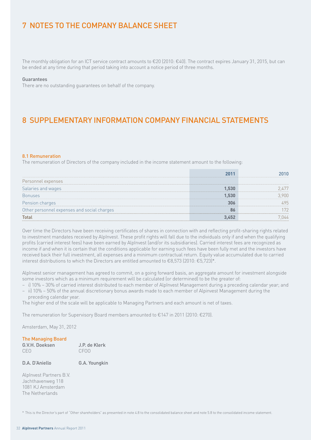The monthly obligation for an ICT service contract amounts to €20 (2010: €40). The contract expires January 31, 2015, but can be ended at any time during that period taking into account a notice period of three months.

#### Guarantees

There are no outstanding guarantees on behalf of the company.

## 8 SUPPI EMENTARY INFORMATION COMPANY FINANCIAL STATEMENTS

#### 8.1 Remuneration

The remuneration of Directors of the company included in the income statement amount to the following:

|                                             | 2011  | 2010  |
|---------------------------------------------|-------|-------|
| Personnel expenses                          |       |       |
| Salaries and wages                          | 1.530 | 2.477 |
| <b>Bonuses</b>                              | 1.530 | 3.900 |
| Pension charges                             | 306   | 495   |
| Other personnel expenses and social charges | 86    |       |
| Total                                       | 3.452 | .044  |

Over time the Directors have been receiving certificates of shares in connection with and reflecting profit-sharing rights related to investment mandates received by AlpInvest. These profit rights will fall due to the individuals only if and when the qualifying profits (carried interest fees) have been earned by AlpInvest (and/or its subsidiaries). Carried interest fees are recognized as income if and when it is certain that the conditions applicable for earning such fees have been fully met and the investors have received back their full investment, all expenses and a minimum contractual return. Equity value accumulated due to carried interest distributions to which the Directors are entitled amounted to €8,573 (2010: €5,723)\*.

AlpInvest senior management has agreed to commit, on a going forward basis, an aggregate amount for investment alongside some investors which as a minimum requirement will be calculated (or determined) to be the greater of:

– i) 10% – 30% of carried interest distributed to each member of AlpInvest Management during a preceding calendar year; and

– ii) 10% – 50% of the annual discretionary bonus awards made to each member of Alpinvest Management during the preceding calendar year.

The higher end of the scale will be applicable to Managing Partners and each amount is net of taxes.

The remuneration for Supervisory Board members amounted to €147 in 2011 (2010: €270).

Amsterdam, May 31, 2012

The Managing Board G.V.H. Doeksen J.P. de Klerk CEO CFOO

D.A. D'Aniello G.A. Youngkin

AlpInvest Partners B.V. Jachthavenweg 118 1081 KJ Amsterdam The Netherlands

\* This is the Director's part of "Other shareholders" as presented in note 4.8 to the consolidated balance sheet and note 5.8 to the consolidated income statement.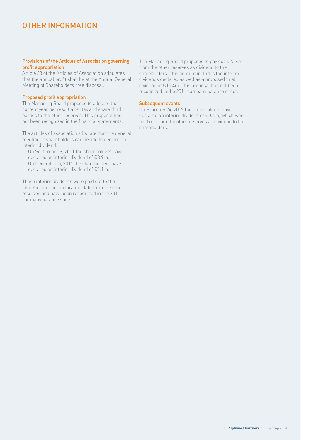## Other information

#### Provisions of the Articles of Association governing profit appropriation

Article 38 of the Articles of Association stipulates that the annual profit shall be at the Annual General Meeting of Shareholders' free disposal.

#### Proposed profit appropriation

The Managing Board proposes to allocate the current year net result after tax and share third parties to the other reserves. This proposal has not been recognized in the financial statements.

The articles of association stipulate that the general meeting of shareholders can decide to declare an interim dividend.

- On September 9, 2011 the shareholders have declared an interim dividend of €3.9m.
- On December 5, 2011 the shareholders have declared an interim dividend of €1.1m.

These interim dividends were paid out to the shareholders on declaration date from the other reserves and have been recognized in the 2011 company balance sheet.

The Managing Board proposes to pay out €20.4m from the other reserves as dividend to the shareholders. This amount includes the interim dividends declared as well as a proposed final dividend of €15.4m. This proposal has not been recognized in the 2011 company balance sheet.

### Subsequent events

On February 24, 2012 the shareholders have declared an interim dividend of €0.6m, which was paid out from the other reserves as dividend to the shareholders.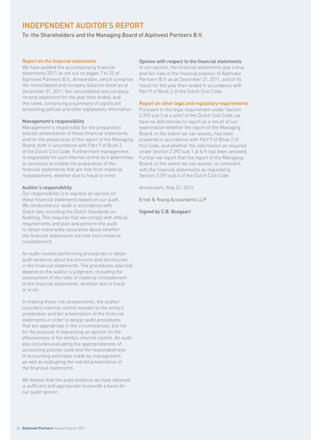## Independent auditor's report

## To: the Shareholders and the Managing Board of AlpInvest Partners B.V.

### Report on the financial statements

We have audited the accompanying financial statements 2011 as set out on pages 7 to 32 of AlpInvest Partners B.V., Amsterdam, which comprise the consolidated and company balance sheet as at December 31, 2011, the consolidated and company income statement for the year then ended, and the notes, comprising a summary of significant accounting policies and other explanatory information.

### Management's responsibility

Management is responsible for the preparation and fair presentation of these financial statements and for the preparation of the report of the Managing Board, both in accordance with Part 9 of Book 2 of the Dutch Civil Code. Furthermore management is responsible for such internal control as it determines is necessary to enable the preparation of the financial statements that are free from material misstatement, whether due to fraud or error.

## Auditor's responsibility

Our responsibility is to express an opinion on these financial statements based on our audit. We conducted our audit in accordance with Dutch law, including the Dutch Standards on Auditing. This requires that we comply with ethical requirements and plan and perform the audit to obtain reasonable assurance about whether the financial statements are free from material misstatement.

An audit involves performing procedures to obtain audit evidence about the amounts and disclosures in the financial statements. The procedures selected depend on the auditor's judgment, including the assessment of the risks of material misstatement of the financial statements, whether due to fraud or error.

In making those risk assessments, the auditor considers internal control relevant to the entity's preparation and fair presentation of the financial statements in order to design audit procedures that are appropriate in the circumstances, but not for the purpose of expressing an opinion on the effectiveness of the entity's internal control. An audit also includes evaluating the appropriateness of accounting policies used and the reasonableness of accounting estimates made by management, as well as evaluating the overall presentation of the financial statements.

We believe that the audit evidence we have obtained is sufficient and appropriate to provide a basis for our audit opinion.

#### Opinion with respect to the financial statements

In our opinion, the financial statements give a true and fair view of the financial position of AlpInvest Partners B.V. as at December 31, 2011, and of its result for the year then ended in accordance with Part 9 of Book 2 of the Dutch Civil Code.

#### Report on other legal and regulatory requirements

Pursuant to the legal requirement under Section 2:393 sub 5 at e and f of the Dutch Civil Code, we have no deficiencies to report as a result of our examination whether the report of the Managing Board, to the extent we can assess, has been prepared in accordance with Part 9 of Book 2 of this Code, and whether the information as required under Section 2:392 sub 1 at b-h has been annexed. Further we report that the report of the Managing Board, to the extent we can assess, is consistent with the financial statements as required by Section 2:391 sub 4 of the Dutch Civil Code.

Amsterdam, May 31, 2012

## Ernst & Young Accountants LLP

### Signed by C.B. Boogaart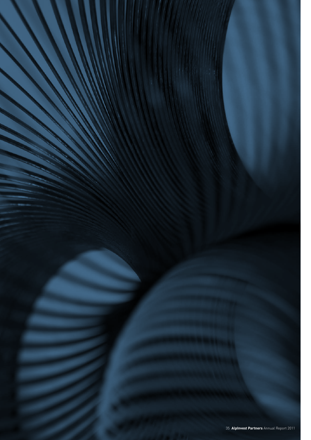**AlpInvest Partners** Annual Report 2011